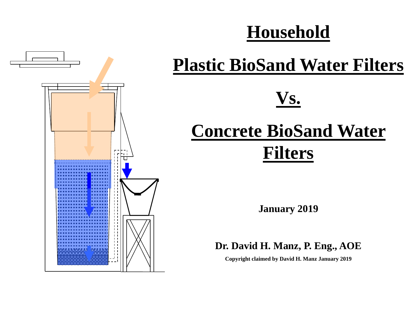## **Household**



# **Plastic BioSand Water Filters**

## **Vs.**

# **Concrete BioSand Water Filters**

**January 2019**

#### **Dr. David H. Manz, P. Eng., AOE**

**Copyright claimed by David H. Manz January 2019**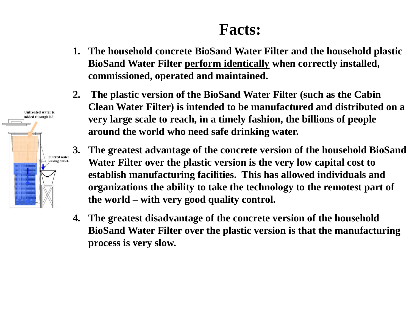#### **Facts:**

- **1. The household concrete BioSand Water Filter and the household plastic BioSand Water Filter perform identically when correctly installed, commissioned, operated and maintained.**
- **2. The plastic version of the BioSand Water Filter (such as the Cabin Clean Water Filter) is intended to be manufactured and distributed on a very large scale to reach, in a timely fashion, the billions of people around the world who need safe drinking water.**
- **3. The greatest advantage of the concrete version of the household BioSand Water Filter over the plastic version is the very low capital cost to establish manufacturing facilities. This has allowed individuals and organizations the ability to take the technology to the remotest part of the world – with very good quality control.**
- **4. The greatest disadvantage of the concrete version of the household BioSand Water Filter over the plastic version is that the manufacturing process is very slow.**